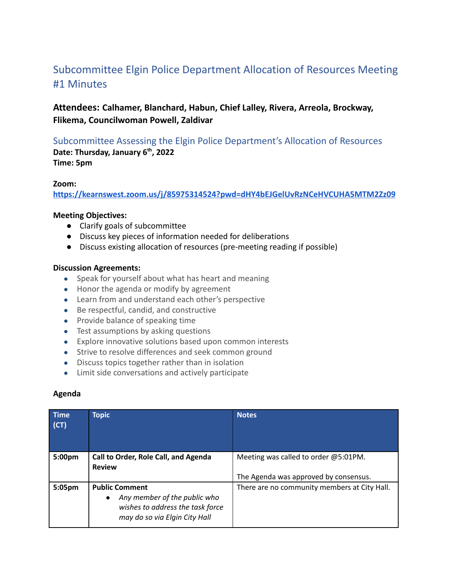# Subcommittee Elgin Police Department Allocation of Resources Meeting #1 Minutes

# **Attendees: Calhamer, Blanchard, Habun, Chief Lalley, Rivera, Arreola, Brockway, Flikema, Councilwoman Powell, Zaldivar**

Subcommittee Assessing the Elgin Police Department's Allocation of Resources **Date: Thursday, January 6th , 2022 Time: 5pm**

#### **Zoom:**

**<https://kearnswest.zoom.us/j/85975314524?pwd=dHY4bEJGelUvRzNCeHVCUHA5MTM2Zz09>**

# **Meeting Objectives:**

- Clarify goals of subcommittee
- Discuss key pieces of information needed for deliberations
- Discuss existing allocation of resources (pre-meeting reading if possible)

## **Discussion Agreements:**

- Speak for yourself about what has heart and meaning
- Honor the agenda or modify by agreement
- Learn from and understand each other's perspective
- Be respectful, candid, and constructive
- Provide balance of speaking time
- Test assumptions by asking questions
- Explore innovative solutions based upon common interests
- Strive to resolve differences and seek common ground
- Discuss topics together rather than in isolation
- Limit side conversations and actively participate

## **Agenda**

| <b>Time</b><br>(CT) | <b>Topic</b>                                                                                                                            | <b>Notes</b>                                 |
|---------------------|-----------------------------------------------------------------------------------------------------------------------------------------|----------------------------------------------|
| 5:00 <sub>pm</sub>  | Call to Order, Role Call, and Agenda<br><b>Review</b>                                                                                   | Meeting was called to order @5:01PM.         |
|                     |                                                                                                                                         | The Agenda was approved by consensus.        |
| 5:05pm              | <b>Public Comment</b><br>Any member of the public who<br>$\bullet$<br>wishes to address the task force<br>may do so via Elgin City Hall | There are no community members at City Hall. |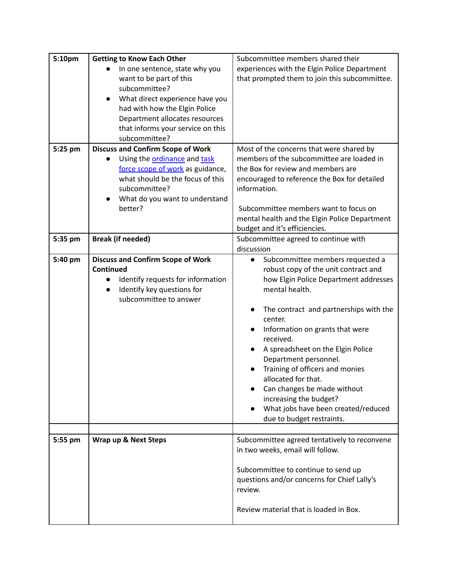| 5:10pm  | <b>Getting to Know Each Other</b>              | Subcommittee members shared their                   |
|---------|------------------------------------------------|-----------------------------------------------------|
|         | In one sentence, state why you                 | experiences with the Elgin Police Department        |
|         | want to be part of this                        | that prompted them to join this subcommittee.       |
|         | subcommittee?                                  |                                                     |
|         | What direct experience have you<br>$\bullet$   |                                                     |
|         | had with how the Elgin Police                  |                                                     |
|         | Department allocates resources                 |                                                     |
|         | that informs your service on this              |                                                     |
|         | subcommittee?                                  |                                                     |
| 5:25 pm | <b>Discuss and Confirm Scope of Work</b>       | Most of the concerns that were shared by            |
|         | Using the <b>ordinance</b> and task            | members of the subcommittee are loaded in           |
|         | force scope of work as guidance,               | the Box for review and members are                  |
|         | what should be the focus of this               | encouraged to reference the Box for detailed        |
|         | subcommittee?                                  | information.                                        |
|         | What do you want to understand<br>$\bullet$    |                                                     |
|         | better?                                        | Subcommittee members want to focus on               |
|         |                                                | mental health and the Elgin Police Department       |
|         |                                                | budget and it's efficiencies.                       |
| 5:35 pm | <b>Break (if needed)</b>                       | Subcommittee agreed to continue with                |
|         |                                                | discussion                                          |
| 5:40 pm | <b>Discuss and Confirm Scope of Work</b>       | Subcommittee members requested a<br>$\bullet$       |
|         | Continued                                      | robust copy of the unit contract and                |
|         | Identify requests for information<br>$\bullet$ | how Elgin Police Department addresses               |
|         | Identify key questions for<br>$\bullet$        | mental health.                                      |
|         | subcommittee to answer                         |                                                     |
|         |                                                | The contract and partnerships with the<br>$\bullet$ |
|         |                                                | center.                                             |
|         |                                                | Information on grants that were<br>$\bullet$        |
|         |                                                | received.                                           |
|         |                                                | A spreadsheet on the Elgin Police                   |
|         |                                                | Department personnel.                               |
|         |                                                | Training of officers and monies                     |
|         |                                                | allocated for that.                                 |
|         |                                                | Can changes be made without                         |
|         |                                                | increasing the budget?                              |
|         |                                                | What jobs have been created/reduced                 |
|         |                                                | due to budget restraints.                           |
|         |                                                |                                                     |
| 5:55 pm | Wrap up & Next Steps                           | Subcommittee agreed tentatively to reconvene        |
|         |                                                | in two weeks, email will follow.                    |
|         |                                                |                                                     |
|         |                                                | Subcommittee to continue to send up                 |
|         |                                                | questions and/or concerns for Chief Lally's         |
|         |                                                | review.                                             |
|         |                                                |                                                     |
|         |                                                | Review material that is loaded in Box.              |
|         |                                                |                                                     |